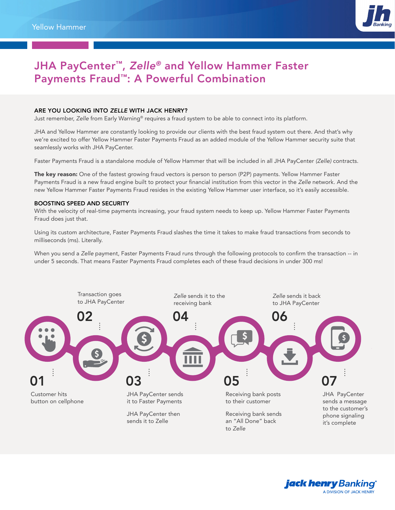

## JHA PayCenter™, *Zelle®* and Yellow Hammer Faster Payments Fraud™: A Powerful Combination

## ARE YOU LOOKING INTO *ZELLE* WITH JACK HENRY?

Just remember, *Zelle* from Early Warning® requires a fraud system to be able to connect into its platform.

JHA and Yellow Hammer are constantly looking to provide our clients with the best fraud system out there. And that's why we're excited to offer Yellow Hammer Faster Payments Fraud as an added module of the Yellow Hammer security suite that seamlessly works with JHA PayCenter.

Faster Payments Fraud is a standalone module of Yellow Hammer that will be included in all JHA PayCenter *(Zelle)* contracts.

The key reason: One of the fastest growing fraud vectors is person to person (P2P) payments. Yellow Hammer Faster Payments Fraud is a new fraud engine built to protect your financial institution from this vector in the *Zelle* network. And the new Yellow Hammer Faster Payments Fraud resides in the existing Yellow Hammer user interface, so it's easily accessible.

## BOOSTING SPEED AND SECURITY

With the velocity of real-time payments increasing, your fraud system needs to keep up. Yellow Hammer Faster Payments Fraud does just that.

Using its custom architecture, Faster Payments Fraud slashes the time it takes to make fraud transactions from seconds to milliseconds (ms). Literally.

When you send a *Zelle* payment, Faster Payments Fraud runs through the following protocols to confirm the transaction -- in under 5 seconds. That means Faster Payments Fraud completes each of these fraud decisions in under 300 ms!